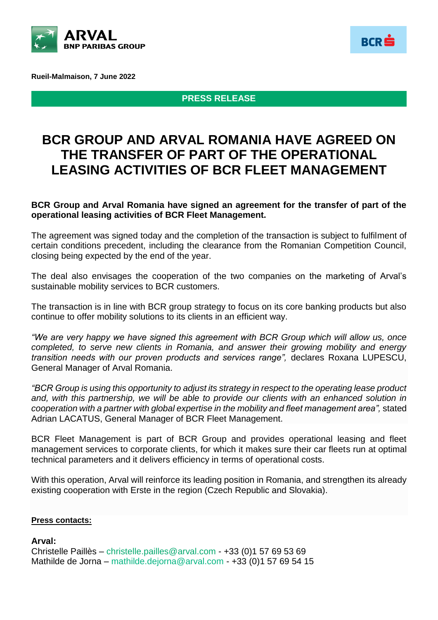

**Rueil-Malmaison, 7 June 2022**

**PRESS RELEASE**

**BCR** 

# **BCR GROUP AND ARVAL ROMANIA HAVE AGREED ON THE TRANSFER OF PART OF THE OPERATIONAL LEASING ACTIVITIES OF BCR FLEET MANAGEMENT**

#### **BCR Group and Arval Romania have signed an agreement for the transfer of part of the operational leasing activities of BCR Fleet Management.**

The agreement was signed today and the completion of the transaction is subject to fulfilment of certain conditions precedent, including the clearance from the Romanian Competition Council, closing being expected by the end of the year.

The deal also envisages the cooperation of the two companies on the marketing of Arval's sustainable mobility services to BCR customers.

The transaction is in line with BCR group strategy to focus on its core banking products but also continue to offer mobility solutions to its clients in an efficient way.

*"We are very happy we have signed this agreement with BCR Group which will allow us, once completed, to serve new clients in Romania, and answer their growing mobility and energy transition needs with our proven products and services range",* declares Roxana LUPESCU, General Manager of Arval Romania.

*"BCR Group is using this opportunity to adjust its strategy in respect to the operating lease product and, with this partnership, we will be able to provide our clients with an enhanced solution in cooperation with a partner with global expertise in the mobility and fleet management area",* stated Adrian LACATUS, General Manager of BCR Fleet Management.

BCR Fleet Management is part of BCR Group and provides operational leasing and fleet management services to corporate clients, for which it makes sure their car fleets run at optimal technical parameters and it delivers efficiency in terms of operational costs.

With this operation, Arval will reinforce its leading position in Romania, and strengthen its already existing cooperation with Erste in the region (Czech Republic and Slovakia).

#### **Press contacts:**

## **Arval:**

Christelle Paillès – [christelle.pailles@arval.com](mailto:christelle.pailles@arval.com) - +33 (0)1 57 69 53 69 Mathilde de Jorna – mathilde.dejorna@arval.com - +33 (0)1 57 69 54 15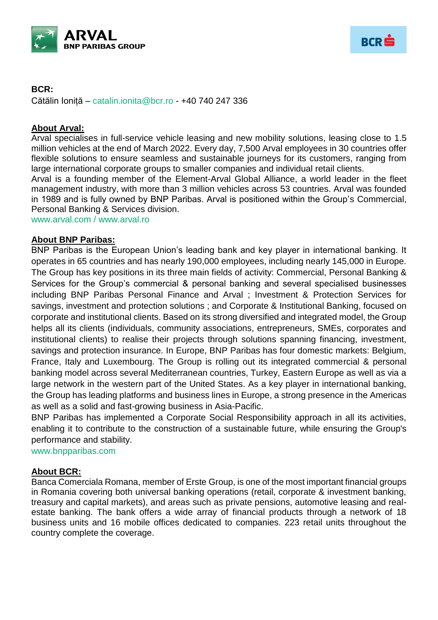



# **BCR:**

Cătălin Ioniță – [catalin.ionita@bcr.ro](mailto:catalin.ionita@bcr.ro) - +40 740 247 336

# **About Arval:**

Arval specialises in full-service vehicle leasing and new mobility solutions, leasing close to 1.5 million vehicles at the end of March 2022. Every day, 7,500 Arval employees in 30 countries offer flexible solutions to ensure seamless and sustainable journeys for its customers, ranging from large international corporate groups to smaller companies and individual retail clients.

Arval is a founding member of the Element-Arval Global Alliance, a world leader in the fleet management industry, with more than 3 million vehicles across 53 countries. Arval was founded in 1989 and is fully owned by BNP Paribas. Arval is positioned within the Group's Commercial, Personal Banking & Services division.

[www.arval.com](http://www.arval.com/) / <www.arval.ro>

### **About BNP Paribas:**

BNP Paribas is the European Union's leading bank and key player in international banking. It operates in 65 countries and has nearly 190,000 employees, including nearly 145,000 in Europe. The Group has key positions in its three main fields of activity: Commercial, Personal Banking & Services for the Group's commercial & personal banking and several specialised businesses including BNP Paribas Personal Finance and Arval ; Investment & Protection Services for savings, investment and protection solutions ; and Corporate & Institutional Banking, focused on corporate and institutional clients. Based on its strong diversified and integrated model, the Group helps all its clients (individuals, community associations, entrepreneurs, SMEs, corporates and institutional clients) to realise their projects through solutions spanning financing, investment, savings and protection insurance. In Europe, BNP Paribas has four domestic markets: Belgium, France, Italy and Luxembourg. The Group is rolling out its integrated commercial & personal banking model across several Mediterranean countries, Turkey, Eastern Europe as well as via a large network in the western part of the United States. As a key player in international banking, the Group has leading platforms and business lines in Europe, a strong presence in the Americas as well as a solid and fast-growing business in Asia-Pacific.

BNP Paribas has implemented a Corporate Social Responsibility approach in all its activities, enabling it to contribute to the construction of a sustainable future, while ensuring the Group's performance and stability.

[www.bnpparibas.com](http://www.bnpparibas.com/)

## **About BCR:**

Banca Comerciala Romana, member of Erste Group, is one of the most important financial groups in Romania covering both universal banking operations (retail, corporate & investment banking, treasury and capital markets), and areas such as private pensions, automotive leasing and realestate banking. The bank offers a wide array of financial products through a network of 18 business units and 16 mobile offices dedicated to companies. 223 retail units throughout the country complete the coverage.